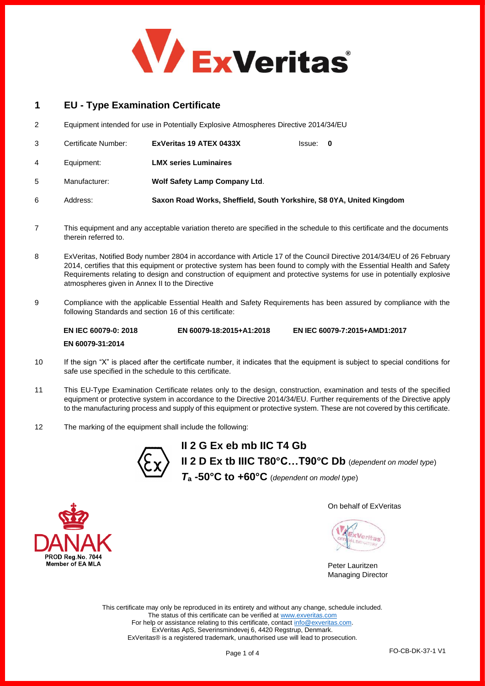

# **1 EU - Type Examination Certificate**

2 Equipment intended for use in Potentially Explosive Atmospheres Directive 2014/34/EU

|   | Certificate Number: | ExVeritas 19 ATEX 0433X                                              | Issue: 0 |  |
|---|---------------------|----------------------------------------------------------------------|----------|--|
| 4 | Equipment:          | <b>LMX series Luminaires</b>                                         |          |  |
| 5 | Manufacturer:       | <b>Wolf Safety Lamp Company Ltd.</b>                                 |          |  |
| 6 | Address:            | Saxon Road Works, Sheffield, South Yorkshire, S8 0YA, United Kingdom |          |  |

- 7 This equipment and any acceptable variation thereto are specified in the schedule to this certificate and the documents therein referred to.
- 8 ExVeritas, Notified Body number 2804 in accordance with Article 17 of the Council Directive 2014/34/EU of 26 February 2014, certifies that this equipment or protective system has been found to comply with the Essential Health and Safety Requirements relating to design and construction of equipment and protective systems for use in potentially explosive atmospheres given in Annex II to the Directive
- 9 Compliance with the applicable Essential Health and Safety Requirements has been assured by compliance with the following Standards and section 16 of this certificate:

**EN IEC 60079-0: 2018 EN 60079-31:2014 EN 60079-18:2015+A1:2018 EN IEC 60079-7:2015+AMD1:2017**

- 10 If the sign "X" is placed after the certificate number, it indicates that the equipment is subject to special conditions for safe use specified in the schedule to this certificate.
- 11 This EU-Type Examination Certificate relates only to the design, construction, examination and tests of the specified equipment or protective system in accordance to the Directive 2014/34/EU. Further requirements of the Directive apply to the manufacturing process and supply of this equipment or protective system. These are not covered by this certificate.
- 12 The marking of the equipment shall include the following:



**II 2 G Ex eb mb IIC T4 Gb II 2 D Ex tb IIIC T80°C…T90°C Db** (*dependent on model type*) *T***<sup>a</sup> -50°C to +60°C** (*dependent on model type*)



Peter Lauritzen Managing Director

This certificate may only be reproduced in its entirety and without any change, schedule included. The status of this certificate can be verified a[t www.exveritas.com](http://www.exveritas.com/) For help or assistance relating to this certificate, contact [info@exveritas.com.](mailto:info@exveritas.com) ExVeritas ApS, Severinsmindevej 6, 4420 Regstrup, Denmark. ExVeritas® is a registered trademark, unauthorised use will lead to prosecution.

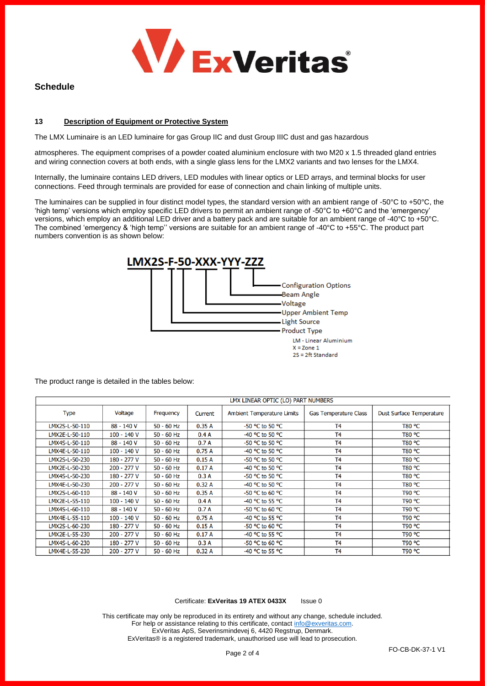

## **Schedule**

## **13 Description of Equipment or Protective System**

The LMX Luminaire is an LED luminaire for gas Group IIC and dust Group IIIC dust and gas hazardous

atmospheres. The equipment comprises of a powder coated aluminium enclosure with two M20 x 1.5 threaded gland entries and wiring connection covers at both ends, with a single glass lens for the LMX2 variants and two lenses for the LMX4.

Internally, the luminaire contains LED drivers, LED modules with linear optics or LED arrays, and terminal blocks for user connections. Feed through terminals are provided for ease of connection and chain linking of multiple units.

The luminaires can be supplied in four distinct model types, the standard version with an ambient range of -50°C to +50°C, the 'high temp' versions which employ specific LED drivers to permit an ambient range of -50°C to +60°C and the 'emergency' versions, which employ an additional LED driver and a battery pack and are suitable for an ambient range of -40°C to +50°C. The combined 'emergency & 'high temp'' versions are suitable for an ambient range of -40°C to +55°C. The product part numbers convention is as shown below:



The product range is detailed in the tables below:

| LMX LINEAR OPTIC (LO) PART NUMBERS |              |              |         |                                     |                              |                                 |
|------------------------------------|--------------|--------------|---------|-------------------------------------|------------------------------|---------------------------------|
| <b>Type</b>                        | Voltage      | Frequency    | Current | <b>Ambient Temperature Limits</b>   | <b>Gas Temperature Class</b> | <b>Dust Surface Temperature</b> |
| LMX2S-L-50-110                     | 88 - 140 V   | $50 - 60$ Hz | 0.35A   | -50 °C to 50 °C                     | <b>T4</b>                    | T80 °C                          |
| LMX2E-L-50-110                     | $100 - 140V$ | $50 - 60$ Hz | 0.4A    | -40 $^{\circ}$ C to 50 $^{\circ}$ C | T <sub>4</sub>               | T80 °C                          |
| LMX4S-L-50-110                     | 88 - 140 V   | $50 - 60$ Hz | 0.7A    | -50 $^{\circ}$ C to 50 $^{\circ}$ C | T <sub>4</sub>               | T80 °C                          |
| LMX4E-L-50-110                     | 100 - 140 V  | $50 - 60$ Hz | 0.75A   | -40 $^{\circ}$ C to 50 $^{\circ}$ C | <b>T4</b>                    | T80 °C                          |
| LMX2S-L-50-230                     | 180 - 277 V  | $50 - 60$ Hz | 0.15A   | -50 °C to 50 °C                     | T <sub>4</sub>               | T80 °C                          |
| LMX2E-L-50-230                     | 200 - 277 V  | $50 - 60$ Hz | 0.17A   | -40 °C to 50 °C                     | <b>T4</b>                    | T80 °C                          |
| LMX4S-L-50-230                     | 180 - 277 V  | $50 - 60$ Hz | 0.3A    | -50 °C to 50 °C                     | T <sub>4</sub>               | T80 °C                          |
| LMX4E-L-50-230                     | 200 - 277 V  | $50 - 60$ Hz | 0.32A   | -40 $^{\circ}$ C to 50 $^{\circ}$ C | T4                           | T80 °C                          |
| LMX2S-L-60-110                     | 88 - 140 V   | $50 - 60$ Hz | 0.35A   | $-50$ °C to 60 °C                   | T <sub>4</sub>               | T90 °C                          |
| LMX2E-L-55-110                     | $100 - 140V$ | $50 - 60$ Hz | 0.4A    | -40 °C to 55 °C                     | T <sub>4</sub>               | T90 °C                          |
| LMX4S-L-60-110                     | 88 - 140 V   | $50 - 60$ Hz | 0.7A    | $-50$ °C to 60 °C                   | T <sub>4</sub>               | T90 °C                          |
| LMX4E-L-55-110                     | $100 - 140V$ | $50 - 60$ Hz | 0.75A   | -40 $^{\circ}$ C to 55 $^{\circ}$ C | T4                           | T90 °C                          |
| LMX2S-L-60-230                     | 180 - 277 V  | $50 - 60$ Hz | 0.15A   | -50 $^{\circ}$ C to 60 $^{\circ}$ C | T <sub>4</sub>               | T90 °C                          |
| LMX2E-L-55-230                     | 200 - 277 V  | $50 - 60$ Hz | 0.17A   | -40 °C to 55 °C                     | T4                           | T90 °C                          |
| LMX4S-L-60-230                     | 180 - 277 V  | $50 - 60$ Hz | 0.3A    | $-50$ °C to 60 °C                   | T4                           | T90 °C                          |
| LMX4E-L-55-230                     | 200 - 277 V  | $50 - 60$ Hz | 0.32A   | -40 °C to 55 °C                     | T <sub>4</sub>               | T90 °C                          |

#### Certificate: **ExVeritas 19 ATEX 0433X** Issue 0

This certificate may only be reproduced in its entirety and without any change, schedule included. For help or assistance relating to this certificate, contact [info@exveritas.com.](mailto:info@exveritas.com) ExVeritas ApS, Severinsmindevej 6, 4420 Regstrup, Denmark. ExVeritas® is a registered trademark, unauthorised use will lead to prosecution.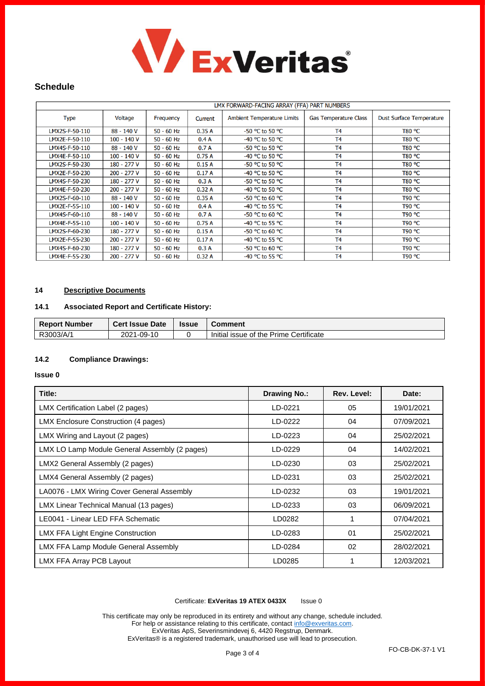

## **Schedule**

|                |              |              |         | LMX FORWARD-FACING ARRAY (FFA) PART NUMBERS |                              |                                 |  |
|----------------|--------------|--------------|---------|---------------------------------------------|------------------------------|---------------------------------|--|
| <b>Type</b>    | Voltage      | Frequency    | Current | <b>Ambient Temperature Limits</b>           | <b>Gas Temperature Class</b> | <b>Dust Surface Temperature</b> |  |
| LMX2S-F-50-110 | 88 - 140 V   | $50 - 60$ Hz | 0.35A   | -50 °C to 50 °C                             | T <sub>4</sub>               | T80 °C                          |  |
| LMX2E-F-50-110 | 100 - 140 V  | $50 - 60$ Hz | 0.4A    | -40 °C to 50 °C                             | T <sub>4</sub>               | T80 °C                          |  |
| LMX4S-F-50-110 | 88 - 140 V   | $50 - 60$ Hz | 0.7A    | -50 °C to 50 °C                             | T <sub>4</sub>               | T80 °C                          |  |
| LMX4E-F-50-110 | 100 - 140 V  | $50 - 60$ Hz | 0.75A   | -40 °C to 50 °C                             | T <sub>4</sub>               | T80 °C                          |  |
| LMX2S-F-50-230 | 180 - 277 V  | $50 - 60$ Hz | 0.15A   | -50 °C to 50 °C                             | T <sub>4</sub>               | T80 °C                          |  |
| LMX2E-F-50-230 | 200 - 277 V  | $50 - 60$ Hz | 0.17A   | -40 °C to 50 °C                             | T <sub>4</sub>               | T80 °C                          |  |
| LMX4S-F-50-230 | 180 - 277 V  | $50 - 60$ Hz | 0.3A    | -50 °C to 50 °C                             | T <sub>4</sub>               | T80 °C                          |  |
| LMX4E-F-50-230 | 200 - 277 V  | $50 - 60$ Hz | 0.32A   | -40 °C to 50 °C                             | T <sub>4</sub>               | T80 °C                          |  |
| LMX2S-F-60-110 | 88 - 140 V   | $50 - 60$ Hz | 0.35A   | -50 °C to 60 °C                             | T <sub>4</sub>               | T90 °C                          |  |
| LMX2E-F-55-110 | 100 - 140 V  | $50 - 60$ Hz | 0.4A    | -40 °C to 55 °C                             | T <sub>4</sub>               | T90 °C                          |  |
| LMX4S-F-60-110 | 88 - 140 V   | 50 - 60 Hz   | 0.7A    | -50 °C to 60 °C                             | T <sub>4</sub>               | T90 °C                          |  |
| LMX4E-F-55-110 | $100 - 140V$ | 50 - 60 Hz   | 0.75A   | -40 °C to 55 °C                             | T <sub>4</sub>               | T90 °C                          |  |
| LMX2S-F-60-230 | 180 - 277 V  | $50 - 60$ Hz | 0.15A   | -50 °C to 60 °C                             | T <sub>4</sub>               | T90 °C                          |  |
| LMX2E-F-55-230 | 200 - 277 V  | 50 - 60 Hz   | 0.17A   | -40 °C to 55 °C                             | T <sub>4</sub>               | T90 °C                          |  |
| LMX4S-F-60-230 | 180 - 277 V  | 50 - 60 Hz   | 0.3A    | -50 °C to 60 °C                             | T <sub>4</sub>               | T90 °C                          |  |
| LMX4E-F-55-230 | 200 - 277 V  | $50 - 60$ Hz | 0.32A   | -40 °C to 55 °C                             | T <sub>4</sub>               | T90 °C                          |  |

## **14 Descriptive Documents**

## **14.1 Associated Report and Certificate History:**

| <b>Report Number</b> | <b>Cert Issue Date</b> | <b>Issue</b> | Comment                                |
|----------------------|------------------------|--------------|----------------------------------------|
| R3003/A/1            | 2021-09-10             |              | Initial issue of the Prime Certificate |

### **14.2 Compliance Drawings:**

#### **Issue 0**

| Title:                                        | <b>Drawing No.:</b> | Rev. Level:  | Date:      |
|-----------------------------------------------|---------------------|--------------|------------|
| LMX Certification Label (2 pages)             | LD-0221             | 05           | 19/01/2021 |
| LMX Enclosure Construction (4 pages)          | LD-0222             | 04           | 07/09/2021 |
| LMX Wiring and Layout (2 pages)               | LD-0223             | 04           | 25/02/2021 |
| LMX LO Lamp Module General Assembly (2 pages) | LD-0229             | 04           | 14/02/2021 |
| LMX2 General Assembly (2 pages)               | LD-0230             | 03           | 25/02/2021 |
| LMX4 General Assembly (2 pages)               | LD-0231             | 03           | 25/02/2021 |
| LA0076 - LMX Wiring Cover General Assembly    | LD-0232             | 03           | 19/01/2021 |
| LMX Linear Technical Manual (13 pages)        | LD-0233             | 03           | 06/09/2021 |
| LE0041 - Linear LED FFA Schematic             | LD0282              | $\mathbf{1}$ | 07/04/2021 |
| LMX FFA Light Engine Construction             | LD-0283             | 01           | 25/02/2021 |
| LMX FFA Lamp Module General Assembly          | LD-0284             | 02           | 28/02/2021 |
| LMX FFA Array PCB Layout                      | LD0285              |              | 12/03/2021 |

#### Certificate: **ExVeritas 19 ATEX 0433X** Issue 0

This certificate may only be reproduced in its entirety and without any change, schedule included. For help or assistance relating to this certificate, contact [info@exveritas.com.](mailto:info@exveritas.com) ExVeritas ApS, Severinsmindevej 6, 4420 Regstrup, Denmark. ExVeritas® is a registered trademark, unauthorised use will lead to prosecution.